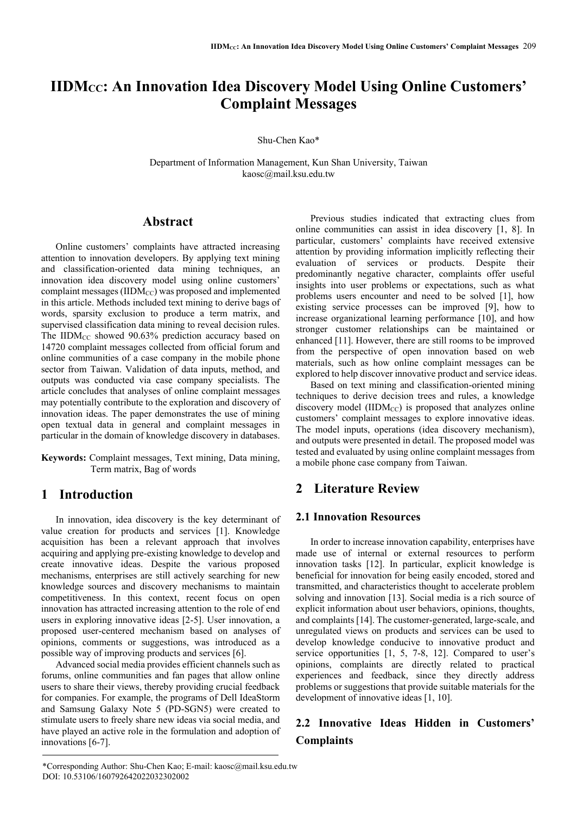# **IIDMCC: An Innovation Idea Discovery Model Using Online Customers' Complaint Messages**

Shu-Chen Kao\*

Department of Information Management, Kun Shan University, Taiwan kaosc@mail.ksu.edu.tw

## **Abstract**

Online customers' complaints have attracted increasing attention to innovation developers. By applying text mining and classification-oriented data mining techniques, an innovation idea discovery model using online customers' complaint messages ( $\text{IIDM}_{\text{CC}}$ ) was proposed and implemented in this article. Methods included text mining to derive bags of words, sparsity exclusion to produce a term matrix, and supervised classification data mining to reveal decision rules. The IIDM<sub>CC</sub> showed 90.63% prediction accuracy based on 14720 complaint messages collected from official forum and online communities of a case company in the mobile phone sector from Taiwan. Validation of data inputs, method, and outputs was conducted via case company specialists. The article concludes that analyses of online complaint messages may potentially contribute to the exploration and discovery of innovation ideas. The paper demonstrates the use of mining open textual data in general and complaint messages in particular in the domain of knowledge discovery in databases.

**Keywords:** Complaint messages, Text mining, Data mining, Term matrix, Bag of words

# **1 Introduction**

In innovation, idea discovery is the key determinant of value creation for products and services [1]. Knowledge acquisition has been a relevant approach that involves acquiring and applying pre-existing knowledge to develop and create innovative ideas. Despite the various proposed mechanisms, enterprises are still actively searching for new knowledge sources and discovery mechanisms to maintain competitiveness. In this context, recent focus on open innovation has attracted increasing attention to the role of end users in exploring innovative ideas [2-5]. User innovation, a proposed user-centered mechanism based on analyses of opinions, comments or suggestions, was introduced as a possible way of improving products and services [6].

Advanced social media provides efficient channels such as forums, online communities and fan pages that allow online users to share their views, thereby providing crucial feedback for companies. For example, the programs of Dell IdeaStorm and Samsung Galaxy Note 5 (PD-SGN5) were created to stimulate users to freely share new ideas via social media, and have played an active role in the formulation and adoption of innovations [6-7].

Previous studies indicated that extracting clues from online communities can assist in idea discovery [1, 8]. In particular, customers' complaints have received extensive attention by providing information implicitly reflecting their evaluation of services or products. Despite their predominantly negative character, complaints offer useful insights into user problems or expectations, such as what problems users encounter and need to be solved [1], how existing service processes can be improved [9], how to increase organizational learning performance [10], and how stronger customer relationships can be maintained or enhanced [11]. However, there are still rooms to be improved from the perspective of open innovation based on web materials, such as how online complaint messages can be explored to help discover innovative product and service ideas.

Based on text mining and classification-oriented mining techniques to derive decision trees and rules, a knowledge discovery model ( $\text{IIDM}_{\text{CC}}$ ) is proposed that analyzes online customers' complaint messages to explore innovative ideas. The model inputs, operations (idea discovery mechanism), and outputs were presented in detail. The proposed model was tested and evaluated by using online complaint messages from a mobile phone case company from Taiwan.

# **2 Literature Review**

## **2.1 Innovation Resources**

In order to increase innovation capability, enterprises have made use of internal or external resources to perform innovation tasks [12]. In particular, explicit knowledge is beneficial for innovation for being easily encoded, stored and transmitted, and characteristics thought to accelerate problem solving and innovation [13]. Social media is a rich source of explicit information about user behaviors, opinions, thoughts, and complaints [14]. The customer-generated, large-scale, and unregulated views on products and services can be used to develop knowledge conducive to innovative product and service opportunities [1, 5, 7-8, 12]. Compared to user's opinions, complaints are directly related to practical experiences and feedback, since they directly address problems or suggestions that provide suitable materials for the development of innovative ideas [1, 10].

# **2.2 Innovative Ideas Hidden in Customers' Complaints**

<sup>\*</sup>Corresponding Author: Shu-Chen Kao; E-mail: kaosc@mail.ksu.edu.tw DOI: 10.53106/160792642022032302002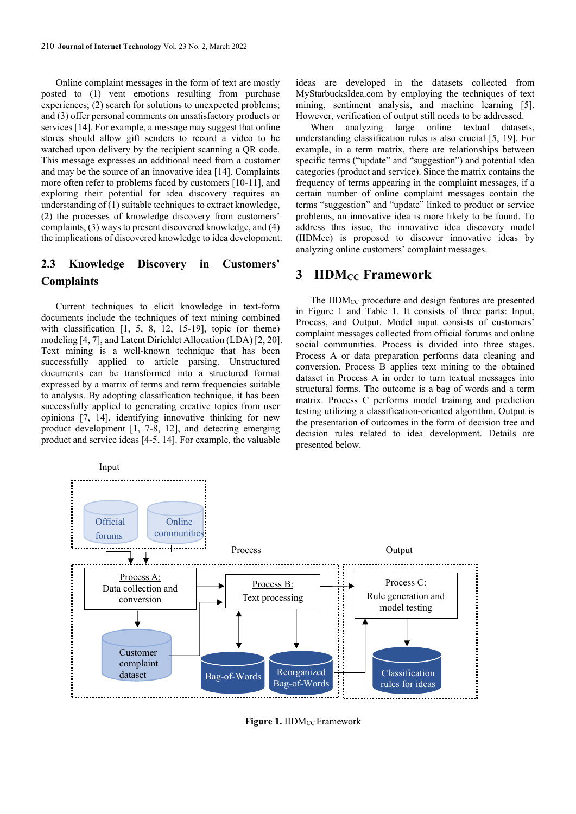Online complaint messages in the form of text are mostly posted to (1) vent emotions resulting from purchase experiences; (2) search for solutions to unexpected problems; and (3) offer personal comments on unsatisfactory products or services [14]. For example, a message may suggest that online stores should allow gift senders to record a video to be watched upon delivery by the recipient scanning a QR code. This message expresses an additional need from a customer and may be the source of an innovative idea [14]. Complaints more often refer to problems faced by customers [10-11], and exploring their potential for idea discovery requires an understanding of (1) suitable techniques to extract knowledge, (2) the processes of knowledge discovery from customers' complaints, (3) ways to present discovered knowledge, and (4) the implications of discovered knowledge to idea development.

# **2.3 Knowledge Discovery in Customers' Complaints**

Current techniques to elicit knowledge in text-form documents include the techniques of text mining combined with classification [1, 5, 8, 12, 15-19], topic (or theme) modeling [4, 7], and Latent Dirichlet Allocation (LDA) [2, 20]. Text mining is a well-known technique that has been successfully applied to article parsing. Unstructured documents can be transformed into a structured format expressed by a matrix of terms and term frequencies suitable to analysis. By adopting classification technique, it has been successfully applied to generating creative topics from user opinions [7, 14], identifying innovative thinking for new product development [1, 7-8, 12], and detecting emerging product and service ideas [4-5, 14]. For example, the valuable

ideas are developed in the datasets collected from MyStarbucksIdea.com by employing the techniques of text mining, sentiment analysis, and machine learning [5]. However, verification of output still needs to be addressed.

When analyzing large online textual datasets, understanding classification rules is also crucial [5, 19]. For example, in a term matrix, there are relationships between specific terms ("update" and "suggestion") and potential idea categories (product and service). Since the matrix contains the frequency of terms appearing in the complaint messages, if a certain number of online complaint messages contain the terms "suggestion" and "update" linked to product or service problems, an innovative idea is more likely to be found. To address this issue, the innovative idea discovery model (IIDMcc) is proposed to discover innovative ideas by analyzing online customers' complaint messages.

# **3 IIDMCC Framework**

The  $\text{IIDM}_{\text{CC}}$  procedure and design features are presented in Figure 1 and Table 1. It consists of three parts: Input, Process, and Output. Model input consists of customers' complaint messages collected from official forums and online social communities. Process is divided into three stages. Process A or data preparation performs data cleaning and conversion. Process B applies text mining to the obtained dataset in Process A in order to turn textual messages into structural forms. The outcome is a bag of words and a term matrix. Process C performs model training and prediction testing utilizing a classification-oriented algorithm. Output is the presentation of outcomes in the form of decision tree and decision rules related to idea development. Details are presented below.



**Figure 1. IIDM<sub>CC</sub> Framework**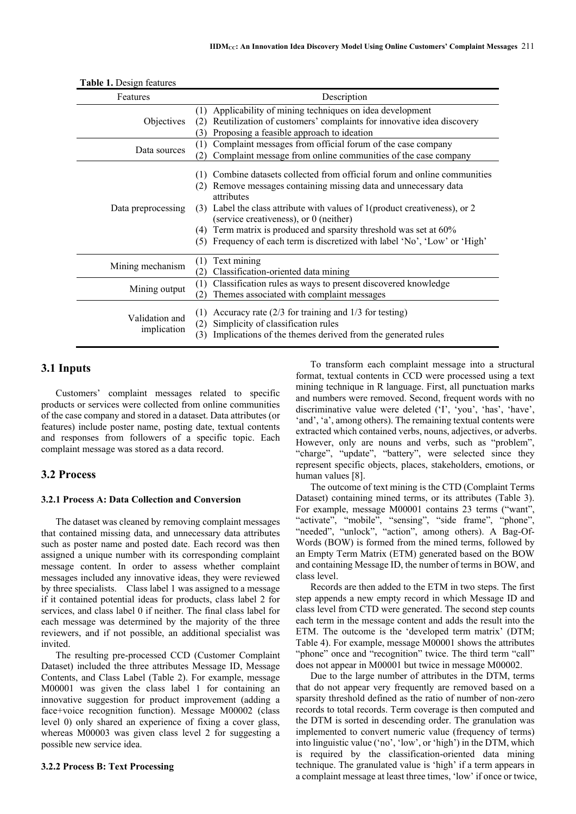| Features                      | Description                                                                                                                                                                                                                                                                                                                                                                                                                                    |
|-------------------------------|------------------------------------------------------------------------------------------------------------------------------------------------------------------------------------------------------------------------------------------------------------------------------------------------------------------------------------------------------------------------------------------------------------------------------------------------|
| Objectives                    | Applicability of mining techniques on idea development<br>(1)<br>Reutilization of customers' complaints for innovative idea discovery<br>(2)<br>Proposing a feasible approach to ideation<br>(3)                                                                                                                                                                                                                                               |
| Data sources                  | Complaint messages from official forum of the case company<br>(1)<br>Complaint message from online communities of the case company<br>(2)                                                                                                                                                                                                                                                                                                      |
| Data preprocessing            | Combine datasets collected from official forum and online communities<br>(1)<br>Remove messages containing missing data and unnecessary data<br>attributes<br>Label the class attribute with values of 1(product creativeness), or 2<br>(3)<br>(service creativeness), or 0 (neither)<br>Term matrix is produced and sparsity threshold was set at 60%<br>(4)<br>Frequency of each term is discretized with label 'No', 'Low' or 'High'<br>(5) |
| Mining mechanism              | Text mining<br>(1)<br>Classification-oriented data mining<br>(2)                                                                                                                                                                                                                                                                                                                                                                               |
| Mining output                 | Classification rules as ways to present discovered knowledge<br>(1)<br>Themes associated with complaint messages<br>(2)                                                                                                                                                                                                                                                                                                                        |
| Validation and<br>implication | Accuracy rate $(2/3$ for training and $1/3$ for testing)<br>(1)<br>Simplicity of classification rules<br>(2)<br>Implications of the themes derived from the generated rules<br>(3)                                                                                                                                                                                                                                                             |

**Table 1.** Design features

## **3.1 Inputs**

Customers' complaint messages related to specific products or services were collected from online communities of the case company and stored in a dataset. Data attributes (or features) include poster name, posting date, textual contents and responses from followers of a specific topic. Each complaint message was stored as a data record.

## **3.2 Process**

#### **3.2.1 Process A: Data Collection and Conversion**

The dataset was cleaned by removing complaint messages that contained missing data, and unnecessary data attributes such as poster name and posted date. Each record was then assigned a unique number with its corresponding complaint message content. In order to assess whether complaint messages included any innovative ideas, they were reviewed by three specialists. Class label 1 was assigned to a message if it contained potential ideas for products, class label 2 for services, and class label 0 if neither. The final class label for each message was determined by the majority of the three reviewers, and if not possible, an additional specialist was invited.

The resulting pre-processed CCD (Customer Complaint Dataset) included the three attributes Message ID, Message Contents, and Class Label (Table 2). For example, message M00001 was given the class label 1 for containing an innovative suggestion for product improvement (adding a face+voice recognition function). Message M00002 (class level 0) only shared an experience of fixing a cover glass, whereas M00003 was given class level 2 for suggesting a possible new service idea.

#### **3.2.2 Process B: Text Processing**

To transform each complaint message into a structural format, textual contents in CCD were processed using a text mining technique in R language. First, all punctuation marks and numbers were removed. Second, frequent words with no discriminative value were deleted ('I', 'you', 'has', 'have', 'and', 'a', among others). The remaining textual contents were extracted which contained verbs, nouns, adjectives, or adverbs. However, only are nouns and verbs, such as "problem", "charge", "update", "battery", were selected since they represent specific objects, places, stakeholders, emotions, or human values [8].

The outcome of text mining is the CTD (Complaint Terms Dataset) containing mined terms, or its attributes (Table 3). For example, message M00001 contains 23 terms ("want", "activate", "mobile", "sensing", "side frame", "phone", "needed", "unlock", "action", among others). A Bag-Of-Words (BOW) is formed from the mined terms, followed by an Empty Term Matrix (ETM) generated based on the BOW and containing Message ID, the number of terms in BOW, and class level.

Records are then added to the ETM in two steps. The first step appends a new empty record in which Message ID and class level from CTD were generated. The second step counts each term in the message content and adds the result into the ETM. The outcome is the 'developed term matrix' (DTM; Table 4). For example, message M00001 shows the attributes "phone" once and "recognition" twice. The third term "call" does not appear in M00001 but twice in message M00002.

Due to the large number of attributes in the DTM, terms that do not appear very frequently are removed based on a sparsity threshold defined as the ratio of number of non-zero records to total records. Term coverage is then computed and the DTM is sorted in descending order. The granulation was implemented to convert numeric value (frequency of terms) into linguistic value ('no', 'low', or 'high') in the DTM, which is required by the classification-oriented data mining technique. The granulated value is 'high' if a term appears in a complaint message at least three times, 'low' if once or twice,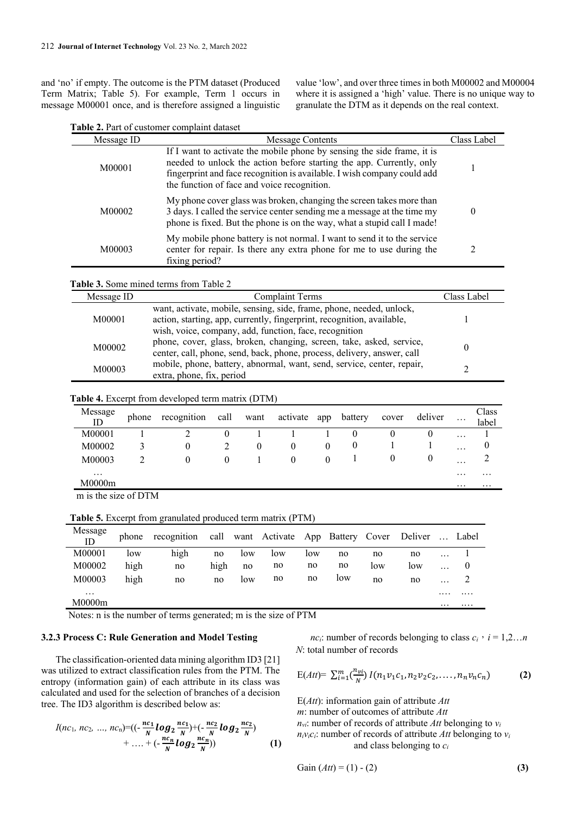and 'no' if empty. The outcome is the PTM dataset (Produced Term Matrix; Table 5). For example, Term 1 occurs in message M00001 once, and is therefore assigned a linguistic

value 'low', and over three times in both M00002 and M00004 where it is assigned a 'high' value. There is no unique way to granulate the DTM as it depends on the real context.

| Table 2. Part of customer complaint dataset |  |
|---------------------------------------------|--|
|---------------------------------------------|--|

 $\overline{a}$ 

| Message ID | <b>Message Contents</b>                                                                                                                                                                                                                                                   | Class Label |
|------------|---------------------------------------------------------------------------------------------------------------------------------------------------------------------------------------------------------------------------------------------------------------------------|-------------|
| M00001     | If I want to activate the mobile phone by sensing the side frame, it is<br>needed to unlock the action before starting the app. Currently, only<br>fingerprint and face recognition is available. I wish company could add<br>the function of face and voice recognition. |             |
| M00002     | My phone cover glass was broken, changing the screen takes more than<br>3 days. I called the service center sending me a message at the time my<br>phone is fixed. But the phone is on the way, what a stupid call I made!                                                | 0           |
| M00003     | My mobile phone battery is not normal. I want to send it to the service<br>center for repair. Is there any extra phone for me to use during the<br>fixing period?                                                                                                         |             |

**Table 3.** Some mined terms from Table 2

| Message ID | <b>Complaint Terms</b>                                                  | Class Label |
|------------|-------------------------------------------------------------------------|-------------|
|            | want, activate, mobile, sensing, side, frame, phone, needed, unlock,    |             |
| M00001     | action, starting, app, currently, fingerprint, recognition, available,  |             |
|            | wish, voice, company, add, function, face, recognition                  |             |
| M00002     | phone, cover, glass, broken, changing, screen, take, asked, service,    |             |
|            | center, call, phone, send, back, phone, process, delivery, answer, call |             |
| M00003     | mobile, phone, battery, abnormal, want, send, service, center, repair,  |             |
|            | extra, phone, fix, period                                               |             |

**Table 4.** Excerpt from developed term matrix (DTM)

| Message<br>ID        | phone | recognition | call | want | activate app |          | battery | cover | deliver  | $\cdots$ | Class<br>label |
|----------------------|-------|-------------|------|------|--------------|----------|---------|-------|----------|----------|----------------|
| M00001               |       |             |      |      |              |          | 0       |       | O        | $\cdots$ |                |
| M00002               |       | 0           |      | 0    | O            | $\theta$ | 0       |       |          | $\cdots$ |                |
| M00003               |       |             |      |      |              | $\theta$ |         |       | $\theta$ | $\cdots$ |                |
| $\cdots$<br>M0000m   |       |             |      |      |              |          |         |       |          | $\cdots$ | $\cdots$       |
| m is the size of DTM |       |             |      |      |              |          |         |       |          | $\cdots$ | $\cdots$       |

m is the size of DTM

**Table 5.** Excerpt from granulated produced term matrix (PTM)

| Message<br>ID | phone | recognition call want Activate App Battery Cover Deliver  Label                                                                                      |      |     |     |     |     |     |     |          |   |
|---------------|-------|------------------------------------------------------------------------------------------------------------------------------------------------------|------|-----|-----|-----|-----|-----|-----|----------|---|
| M00001        | low   | high                                                                                                                                                 | no   | low | low | low | no  | no  | no  | $\cdots$ |   |
| M00002        | high  | no                                                                                                                                                   | high | no  | no  | no  | no  | low | low | $\cdots$ |   |
| M00003        | high  | no                                                                                                                                                   | no.  | low | no  | no  | low | no  | no  | $\cdots$ |   |
| $\cdots$      |       |                                                                                                                                                      |      |     |     |     |     |     |     | .        | . |
| M0000m        |       | $\mathbf{M}$ and $\mathbf{M}$ and $\mathbf{M}$ and $\mathbf{M}$ and $\mathbf{M}$ and $\mathbf{M}$ and $\mathbf{M}$ and $\mathbf{M}$ and $\mathbf{M}$ |      |     |     |     |     |     |     | $\cdots$ |   |

Notes: n is the number of terms generated; m is the size of PTM

#### **3.2.3 Process C: Rule Generation and Model Testing**

The classification-oriented data mining algorithm ID3 [21] was utilized to extract classification rules from the PTM. The entropy (information gain) of each attribute in its class was calculated and used for the selection of branches of a decision tree. The ID3 algorithm is described below as:

$$
I(nc_1, nc_2, ..., nc_n) = ((-\frac{nc_1}{N} log_2 \frac{nc_1}{N}) + (-\frac{nc_2}{N} log_2 \frac{nc_2}{N}) + ... + (-\frac{nc_n}{N} log_2 \frac{nc_n}{N})) \qquad (1)
$$

*nc*<sub>*i*</sub>: number of records belonging to class  $c_i$ ,  $i = 1,2...n$ *N*: total number of records

$$
E(Att) = \sum_{i=1}^{m} \left(\frac{n_{vi}}{N}\right) I(n_1 v_1 c_1, n_2 v_2 c_2, \dots, n_n v_n c_n)
$$
 (2)

E(*Att*): information gain of attribute *Att m*: number of outcomes of attribute *Att*  $n_{vi}$ : number of records of attribute *Att* belonging to  $v_i$  $n_i v_i c_i$ : number of records of attribute *Att* belonging to  $v_i$ and class belonging to *c<sup>i</sup>*

Gain 
$$
(Att) = (1) - (2)
$$
 (3)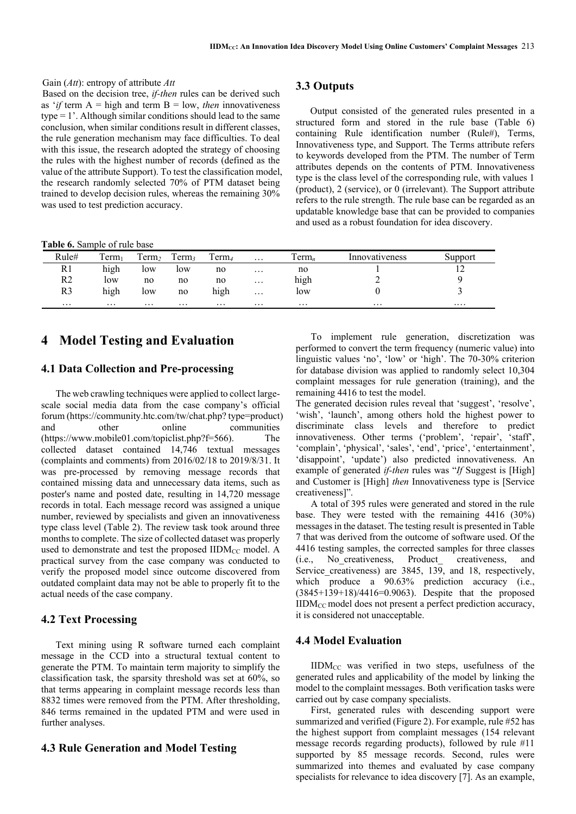## Gain (*Att*): entropy of attribute *Att*

Based on the decision tree, *if-then* rules can be derived such as '*if* term  $A =$  high and term  $B =$  low, *then* innovativeness type = 1'. Although similar conditions should lead to the same conclusion, when similar conditions result in different classes, the rule generation mechanism may face difficulties. To deal with this issue, the research adopted the strategy of choosing the rules with the highest number of records (defined as the value of the attribute Support). To test the classification model, the research randomly selected 70% of PTM dataset being trained to develop decision rules, whereas the remaining 30% was used to test prediction accuracy.

## **3.3 Outputs**

Output consisted of the generated rules presented in a structured form and stored in the rule base (Table 6) containing Rule identification number (Rule#), Terms, Innovativeness type, and Support. The Terms attribute refers to keywords developed from the PTM. The number of Term attributes depends on the contents of PTM. Innovativeness type is the class level of the corresponding rule, with values 1 (product), 2 (service), or 0 (irrelevant). The Support attribute refers to the rule strength. The rule base can be regarded as an updatable knowledge base that can be provided to companies and used as a robust foundation for idea discovery.

**Table 6.** Sample of rule base

| Rule#    | $\overline{ }$<br>erm | $\mathbf{r}$<br>Term <sub>2</sub> | Ē<br>Term | $1$ erm  | $\cdots$ | l'erm <sub>n</sub> | Innovativeness | Support |
|----------|-----------------------|-----------------------------------|-----------|----------|----------|--------------------|----------------|---------|
| R1       | $\cdots$<br>high      | low                               | low       | no       | $\cdots$ | no                 |                | . .     |
| R2       | low                   | no                                | no        | no       | $\cdots$ | .<br>high          |                |         |
| R3       | .<br>hıgh             | low                               | no        | hıgh     | $\cdots$ | low                |                |         |
| $\cdots$ | $\cdots$              | $\cdots$                          | $\cdots$  | $\cdots$ | $\cdots$ | $\cdots$           | $\cdots$       |         |

# **4 Model Testing and Evaluation**

## **4.1 Data Collection and Pre-processing**

The web crawling techniques were applied to collect largescale social media data from the case company's official forum (https://community.htc.com/tw/chat.php? type=product) and other online communities (https://www.mobile01.com/topiclist.php?f=566). The collected dataset contained 14,746 textual messages (complaints and comments) from 2016/02/18 to 2019/8/31. It was pre-processed by removing message records that contained missing data and unnecessary data items, such as poster's name and posted date, resulting in 14,720 message records in total. Each message record was assigned a unique number, reviewed by specialists and given an innovativeness type class level (Table 2). The review task took around three months to complete. The size of collected dataset was properly used to demonstrate and test the proposed IIDM<sub>CC</sub> model. A practical survey from the case company was conducted to verify the proposed model since outcome discovered from outdated complaint data may not be able to properly fit to the actual needs of the case company.

## **4.2 Text Processing**

Text mining using R software turned each complaint message in the CCD into a structural textual content to generate the PTM. To maintain term majority to simplify the classification task, the sparsity threshold was set at 60%, so that terms appearing in complaint message records less than 8832 times were removed from the PTM. After thresholding, 846 terms remained in the updated PTM and were used in further analyses.

## **4.3 Rule Generation and Model Testing**

To implement rule generation, discretization was performed to convert the term frequency (numeric value) into linguistic values 'no', 'low' or 'high'. The 70-30% criterion for database division was applied to randomly select 10,304 complaint messages for rule generation (training), and the remaining 4416 to test the model.

The generated decision rules reveal that 'suggest', 'resolve', 'wish', 'launch', among others hold the highest power to discriminate class levels and therefore to predict innovativeness. Other terms ('problem', 'repair', 'staff', 'complain', 'physical', 'sales', 'end', 'price', 'entertainment', 'disappoint', 'update') also predicted innovativeness. An example of generated *if-then* rules was "*If* Suggest is [High] and Customer is [High] *then* Innovativeness type is [Service creativeness]".

A total of 395 rules were generated and stored in the rule base. They were tested with the remaining 4416 (30%) messages in the dataset. The testing result is presented in Table 7 that was derived from the outcome of software used. Of the 4416 testing samples, the corrected samples for three classes (i.e., No\_creativeness, Product\_ creativeness, and Service creativeness) are 3845, 139, and 18, respectively, which produce a 90.63% prediction accuracy (i.e., (3845+139+18)/4416=0.9063). Despite that the proposed IIDMCC model does not present a perfect prediction accuracy, it is considered not unacceptable.

## **4.4 Model Evaluation**

IIDMCC was verified in two steps, usefulness of the generated rules and applicability of the model by linking the model to the complaint messages. Both verification tasks were carried out by case company specialists.

First, generated rules with descending support were summarized and verified (Figure 2). For example, rule #52 has the highest support from complaint messages (154 relevant message records regarding products), followed by rule #11 supported by 85 message records. Second, rules were summarized into themes and evaluated by case company specialists for relevance to idea discovery [7]. As an example,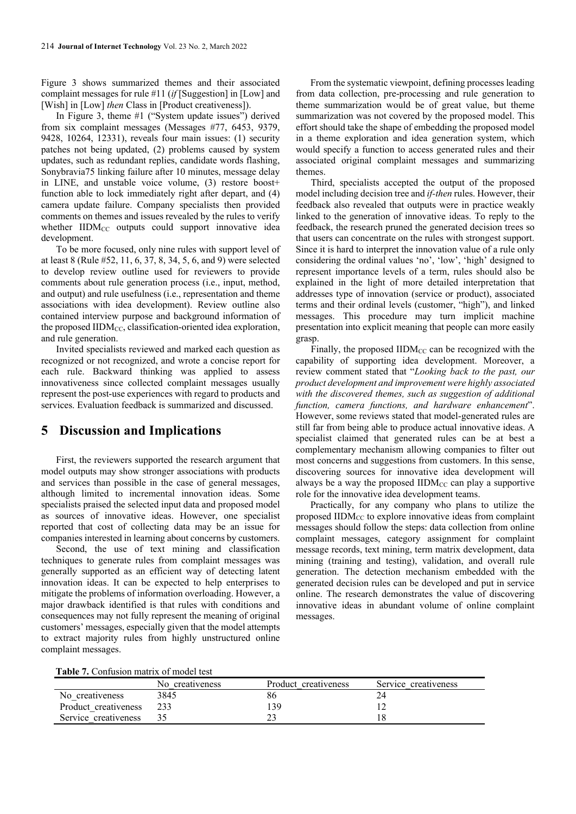Figure 3 shows summarized themes and their associated complaint messages for rule #11 (*if* [Suggestion] in [Low] and [Wish] in [Low] *then* Class in [Product creativeness]).

In Figure 3, theme #1 ("System update issues") derived from six complaint messages (Messages #77, 6453, 9379, 9428, 10264, 12331), reveals four main issues: (1) security patches not being updated, (2) problems caused by system updates, such as redundant replies, candidate words flashing, Sonybravia75 linking failure after 10 minutes, message delay in LINE, and unstable voice volume, (3) restore boost+ function able to lock immediately right after depart, and (4) camera update failure. Company specialists then provided comments on themes and issues revealed by the rules to verify whether  $IIDM_{CC}$  outputs could support innovative idea development.

To be more focused, only nine rules with support level of at least 8 (Rule #52, 11, 6, 37, 8, 34, 5, 6, and 9) were selected to develop review outline used for reviewers to provide comments about rule generation process (i.e., input, method, and output) and rule usefulness (i.e., representation and theme associations with idea development). Review outline also contained interview purpose and background information of the proposed  $\text{IIDM}_{\text{CC}}$ , classification-oriented idea exploration, and rule generation.

Invited specialists reviewed and marked each question as recognized or not recognized, and wrote a concise report for each rule. Backward thinking was applied to assess innovativeness since collected complaint messages usually represent the post-use experiences with regard to products and services. Evaluation feedback is summarized and discussed.

# **5 Discussion and Implications**

First, the reviewers supported the research argument that model outputs may show stronger associations with products and services than possible in the case of general messages, although limited to incremental innovation ideas. Some specialists praised the selected input data and proposed model as sources of innovative ideas. However, one specialist reported that cost of collecting data may be an issue for companies interested in learning about concerns by customers.

Second, the use of text mining and classification techniques to generate rules from complaint messages was generally supported as an efficient way of detecting latent innovation ideas. It can be expected to help enterprises to mitigate the problems of information overloading. However, a major drawback identified is that rules with conditions and consequences may not fully represent the meaning of original customers' messages, especially given that the model attempts to extract majority rules from highly unstructured online complaint messages.

From the systematic viewpoint, defining processes leading from data collection, pre-processing and rule generation to theme summarization would be of great value, but theme summarization was not covered by the proposed model. This effort should take the shape of embedding the proposed model in a theme exploration and idea generation system, which would specify a function to access generated rules and their associated original complaint messages and summarizing themes.

Third, specialists accepted the output of the proposed model including decision tree and *if-then* rules. However, their feedback also revealed that outputs were in practice weakly linked to the generation of innovative ideas. To reply to the feedback, the research pruned the generated decision trees so that users can concentrate on the rules with strongest support. Since it is hard to interpret the innovation value of a rule only considering the ordinal values 'no', 'low', 'high' designed to represent importance levels of a term, rules should also be explained in the light of more detailed interpretation that addresses type of innovation (service or product), associated terms and their ordinal levels (customer, "high"), and linked messages. This procedure may turn implicit machine presentation into explicit meaning that people can more easily grasp.

Finally, the proposed  $\text{IIDM}_{\text{CC}}$  can be recognized with the capability of supporting idea development. Moreover, a review comment stated that "*Looking back to the past, our product development and improvement were highly associated with the discovered themes, such as suggestion of additional function, camera functions, and hardware enhancement*". However, some reviews stated that model-generated rules are still far from being able to produce actual innovative ideas. A specialist claimed that generated rules can be at best a complementary mechanism allowing companies to filter out most concerns and suggestions from customers. In this sense, discovering sources for innovative idea development will always be a way the proposed  $\text{IIDM}_{CC}$  can play a supportive role for the innovative idea development teams.

Practically, for any company who plans to utilize the proposed  $\text{IIDM}_{\text{CC}}$  to explore innovative ideas from complaint messages should follow the steps: data collection from online complaint messages, category assignment for complaint message records, text mining, term matrix development, data mining (training and testing), validation, and overall rule generation. The detection mechanism embedded with the generated decision rules can be developed and put in service online. The research demonstrates the value of discovering innovative ideas in abundant volume of online complaint messages.

**Table 7.** Confusion matrix of model test

|                      | No creativeness | Product creativeness | Service creativeness |
|----------------------|-----------------|----------------------|----------------------|
| No creativeness      | 3845            |                      |                      |
| Product creativeness |                 | 39                   |                      |
| Service creativeness |                 |                      |                      |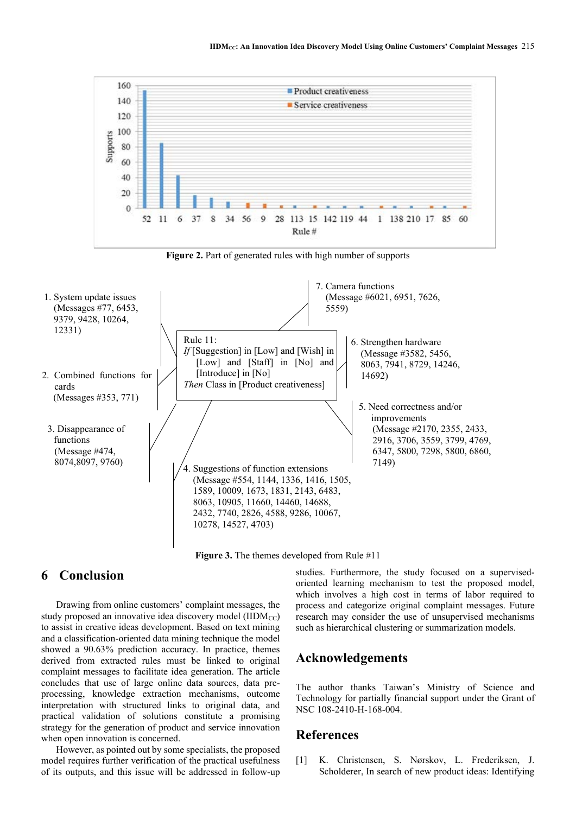

**Figure 3.** The themes developed from Rule #11

# **6 Conclusion**

Drawing from online customers' complaint messages, the study proposed an innovative idea discovery model  $(IIDM_{CC})$ to assist in creative ideas development. Based on text mining and a classification-oriented data mining technique the model showed a 90.63% prediction accuracy. In practice, themes derived from extracted rules must be linked to original complaint messages to facilitate idea generation. The article concludes that use of large online data sources, data preprocessing, knowledge extraction mechanisms, outcome interpretation with structured links to original data, and practical validation of solutions constitute a promising strategy for the generation of product and service innovation when open innovation is concerned.

However, as pointed out by some specialists, the proposed model requires further verification of the practical usefulness of its outputs, and this issue will be addressed in follow-up studies. Furthermore, the study focused on a supervisedoriented learning mechanism to test the proposed model, which involves a high cost in terms of labor required to process and categorize original complaint messages. Future research may consider the use of unsupervised mechanisms such as hierarchical clustering or summarization models.

# **Acknowledgements**

The author thanks Taiwan's Ministry of Science and Technology for partially financial support under the Grant of NSC 108-2410-H-168-004.

# **References**

[1] K. Christensen, S. Nørskov, L. Frederiksen, J. Scholderer, In search of new product ideas: Identifying